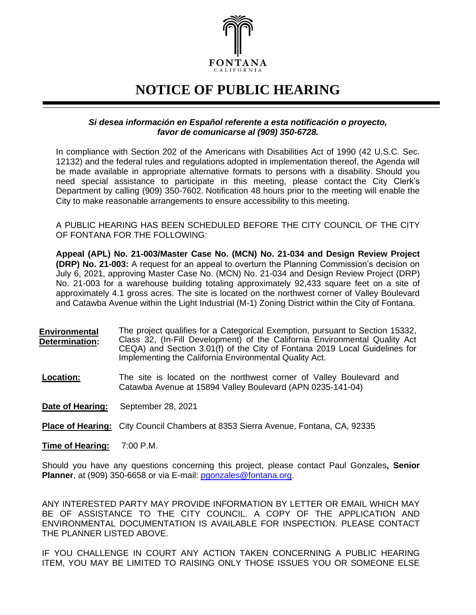

## **NOTICE OF PUBLIC HEARING**

## *Si desea información en Español referente a esta notificación o proyecto, favor de comunicarse al (909) 350-6728.*

In compliance with Section 202 of the Americans with Disabilities Act of 1990 (42 U.S.C. Sec. 12132) and the federal rules and regulations adopted in implementation thereof, the Agenda will be made available in appropriate alternative formats to persons with a disability. Should you need special assistance to participate in this meeting, please contact the City Clerk's Department by calling (909) 350-7602. Notification 48 hours prior to the meeting will enable the City to make reasonable arrangements to ensure accessibility to this meeting.

A PUBLIC HEARING HAS BEEN SCHEDULED BEFORE THE CITY COUNCIL OF THE CITY OF FONTANA FOR THE FOLLOWING:

**Appeal (APL) No. 21-003/Master Case No. (MCN) No. 21-034 and Design Review Project (DRP) No. 21-003:** A request for an appeal to overturn the Planning Commission's decision on July 6, 2021, approving Master Case No. (MCN) No. 21-034 and Design Review Project (DRP) No. 21-003 for a warehouse building totaling approximately 92,433 square feet on a site of approximately 4.1 gross acres. The site is located on the northwest corner of Valley Boulevard and Catawba Avenue within the Light Industrial (M-1) Zoning District within the City of Fontana.

- **Environmental Determination:** The project qualifies for a Categorical Exemption, pursuant to Section 15332, Class 32, (In-Fill Development) of the California Environmental Quality Act CEQA) and Section 3.01(f) of the City of Fontana 2019 Local Guidelines for Implementing the California Environmental Quality Act.
- **Location:** The site is located on the northwest corner of Valley Boulevard and Catawba Avenue at 15894 Valley Boulevard (APN 0235-141-04)

**Date of Hearing:** September 28, 2021

**Place of Hearing:** City Council Chambers at 8353 Sierra Avenue, Fontana, CA, 92335

**Time of Hearing:** 7:00 P.M.

Should you have any questions concerning this project, please contact Paul Gonzales**, Senior Planner**, at (909) 350-6658 or via E-mail: [pgonzales@fontana.org.](mailto:pgonzales@fontana.org)

ANY INTERESTED PARTY MAY PROVIDE INFORMATION BY LETTER OR EMAIL WHICH MAY BE OF ASSISTANCE TO THE CITY COUNCIL. A COPY OF THE APPLICATION AND ENVIRONMENTAL DOCUMENTATION IS AVAILABLE FOR INSPECTION. PLEASE CONTACT THE PLANNER LISTED ABOVE.

IF YOU CHALLENGE IN COURT ANY ACTION TAKEN CONCERNING A PUBLIC HEARING ITEM, YOU MAY BE LIMITED TO RAISING ONLY THOSE ISSUES YOU OR SOMEONE ELSE